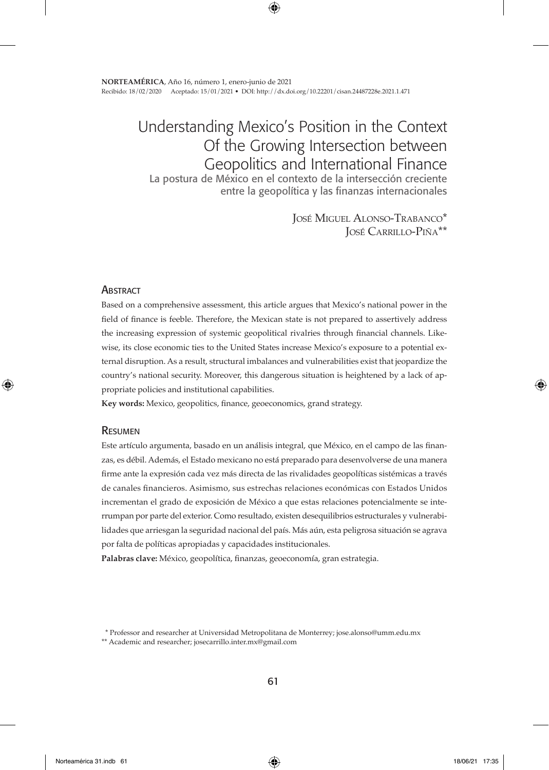# Understanding Mexico's Position in the Context Of the Growing Intersection between Geopolitics and International Finance La postura de México en el contexto de la intersección creciente

entre la geopolítica y las finanzas internacionales

José Miguel Alonso-Trabanco\* José Carrillo-Piña\*\*

## **ABSTRACT**

Based on a comprehensive assessment, this article argues that Mexico's national power in the field of finance is feeble. Therefore, the Mexican state is not prepared to assertively address the increasing expression of systemic geopolitical rivalries through financial channels. Likewise, its close economic ties to the United States increase Mexico's exposure to a potential external disruption. As a result, structural imbalances and vulnerabilities exist that jeopardize the country's national security. Moreover, this dangerous situation is heightened by a lack of appropriate policies and institutional capabilities.

**Key words:** Mexico, geopolitics, finance, geoeconomics, grand strategy.

## Resumen

Este artículo argumenta, basado en un análisis integral, que México, en el campo de las finanzas, es débil. Además, el Estado mexicano no está preparado para desenvolverse de una manera firme ante la expresión cada vez más directa de las rivalidades geopolíticas sistémicas a través de canales financieros. Asimismo, sus estrechas relaciones económicas con Estados Unidos incrementan el grado de exposición de México a que estas relaciones potencialmente se interrumpan por parte del exterior. Como resultado, existen desequilibrios estructurales y vulnerabilidades que arriesgan la seguridad nacional del país. Más aún, esta peligrosa situación se agrava por falta de políticas apropiadas y capacidades institucionales.

**Palabras clave:** México, geopolítica, finanzas, geoeconomía, gran estrategia.

 <sup>\*</sup> Professor and researcher at Universidad Metropolitana de Monterrey; jose.alonso@umm.edu.mx

<sup>\*\*</sup> Academic and researcher; josecarrillo.inter.mx@gmail.com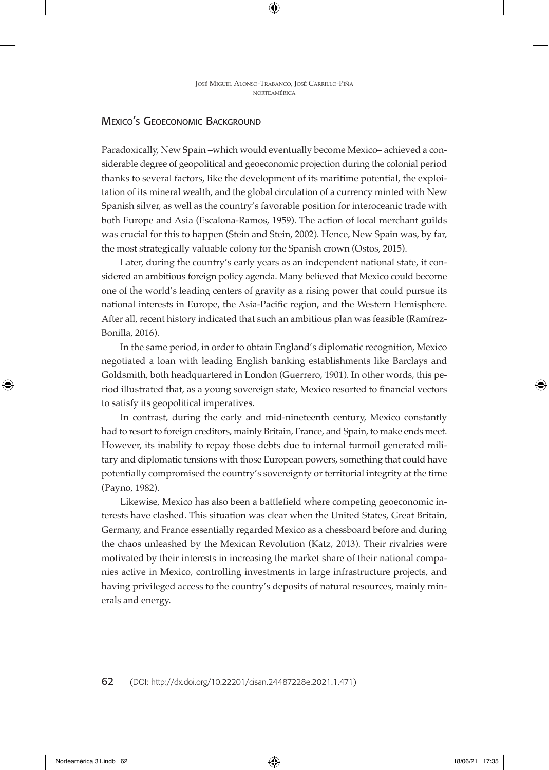## Mexico's Geoeconomic Background

Paradoxically, New Spain –which would eventually become Mexico– achieved a considerable degree of geopolitical and geoeconomic projection during the colonial period thanks to several factors, like the development of its maritime potential, the exploitation of its mineral wealth, and the global circulation of a currency minted with New Spanish silver, as well as the country's favorable position for interoceanic trade with both Europe and Asia (Escalona-Ramos, 1959). The action of local merchant guilds was crucial for this to happen (Stein and Stein, 2002). Hence, New Spain was, by far, the most strategically valuable colony for the Spanish crown (Ostos, 2015).

Later, during the country's early years as an independent national state, it considered an ambitious foreign policy agenda. Many believed that Mexico could become one of the world's leading centers of gravity as a rising power that could pursue its national interests in Europe, the Asia-Pacific region, and the Western Hemisphere. After all, recent history indicated that such an ambitious plan was feasible (Ramírez-Bonilla, 2016).

In the same period, in order to obtain England's diplomatic recognition, Mexico negotiated a loan with leading English banking establishments like Barclays and Goldsmith, both headquartered in London (Guerrero, 1901). In other words, this period illustrated that, as a young sovereign state, Mexico resorted to financial vectors to satisfy its geopolitical imperatives.

In contrast, during the early and mid-nineteenth century, Mexico constantly had to resort to foreign creditors, mainly Britain, France, and Spain, to make ends meet. However, its inability to repay those debts due to internal turmoil generated military and diplomatic tensions with those European powers, something that could have potentially compromised the country's sovereignty or territorial integrity at the time (Payno, 1982).

Likewise, Mexico has also been a battlefield where competing geoeconomic interests have clashed. This situation was clear when the United States, Great Britain, Germany, and France essentially regarded Mexico as a chessboard before and during the chaos unleashed by the Mexican Revolution (Katz, 2013). Their rivalries were motivated by their interests in increasing the market share of their national companies active in Mexico, controlling investments in large infrastructure projects, and having privileged access to the country's deposits of natural resources, mainly minerals and energy.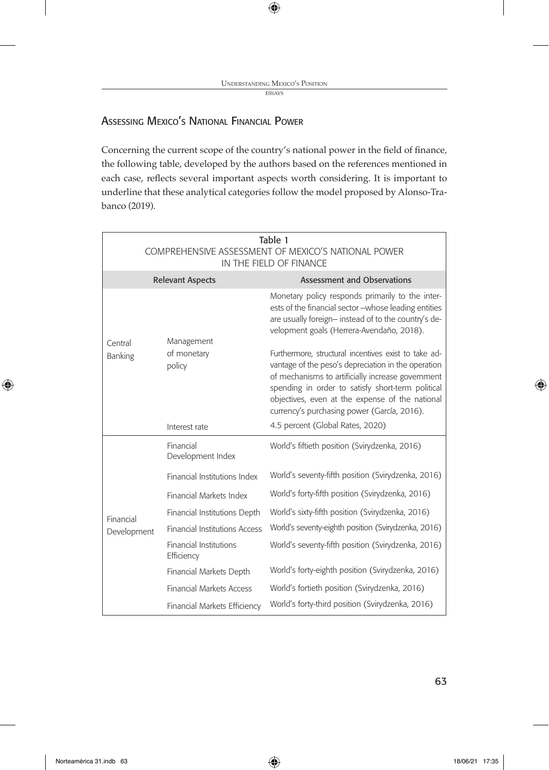## Assessing Mexico's National Financial Power

Concerning the current scope of the country's national power in the field of finance, the following table, developed by the authors based on the references mentioned in each case, reflects several important aspects worth considering. It is important to underline that these analytical categories follow the model proposed by Alonso-Trabanco (2019).

| Table 1<br>COMPREHENSIVE ASSESSMENT OF MEXICO'S NATIONAL POWER<br>IN THE FIELD OF FINANCE |                                             |                                                                                                                                                                                                                                                                                                                         |  |  |  |  |
|-------------------------------------------------------------------------------------------|---------------------------------------------|-------------------------------------------------------------------------------------------------------------------------------------------------------------------------------------------------------------------------------------------------------------------------------------------------------------------------|--|--|--|--|
| <b>Relevant Aspects</b>                                                                   |                                             | <b>Assessment and Observations</b>                                                                                                                                                                                                                                                                                      |  |  |  |  |
|                                                                                           |                                             | Monetary policy responds primarily to the inter-<br>ests of the financial sector -whose leading entities<br>are usually foreign- instead of to the country's de-<br>velopment goals (Herrera-Avendaño, 2018).                                                                                                           |  |  |  |  |
| Central                                                                                   | Management                                  |                                                                                                                                                                                                                                                                                                                         |  |  |  |  |
| Banking                                                                                   | of monetary<br>policy                       | Furthermore, structural incentives exist to take ad-<br>vantage of the peso's depreciation in the operation<br>of mechanisms to artificially increase government<br>spending in order to satisfy short-term political<br>objectives, even at the expense of the national<br>currency's purchasing power (García, 2016). |  |  |  |  |
|                                                                                           | Interest rate                               | 4.5 percent (Global Rates, 2020)                                                                                                                                                                                                                                                                                        |  |  |  |  |
|                                                                                           | Financial<br>Development Index              | World's fiftieth position (Svirydzenka, 2016)                                                                                                                                                                                                                                                                           |  |  |  |  |
|                                                                                           | Financial Institutions Index                | World's seventy-fifth position (Svirydzenka, 2016)                                                                                                                                                                                                                                                                      |  |  |  |  |
|                                                                                           | Financial Markets Index                     | World's forty-fifth position (Svirydzenka, 2016)                                                                                                                                                                                                                                                                        |  |  |  |  |
| Financial                                                                                 | Financial Institutions Depth                | World's sixty-fifth position (Svirydzenka, 2016)                                                                                                                                                                                                                                                                        |  |  |  |  |
| Development                                                                               | <b>Financial Institutions Access</b>        | World's seventy-eighth position (Svirydzenka, 2016)                                                                                                                                                                                                                                                                     |  |  |  |  |
|                                                                                           | <b>Financial Institutions</b><br>Efficiency | World's seventy-fifth position (Svirydzenka, 2016)                                                                                                                                                                                                                                                                      |  |  |  |  |
|                                                                                           | Financial Markets Depth                     | World's forty-eighth position (Svirydzenka, 2016)                                                                                                                                                                                                                                                                       |  |  |  |  |
|                                                                                           | <b>Financial Markets Access</b>             | World's fortieth position (Svirydzenka, 2016)                                                                                                                                                                                                                                                                           |  |  |  |  |
|                                                                                           | Financial Markets Efficiency                | World's forty-third position (Svirydzenka, 2016)                                                                                                                                                                                                                                                                        |  |  |  |  |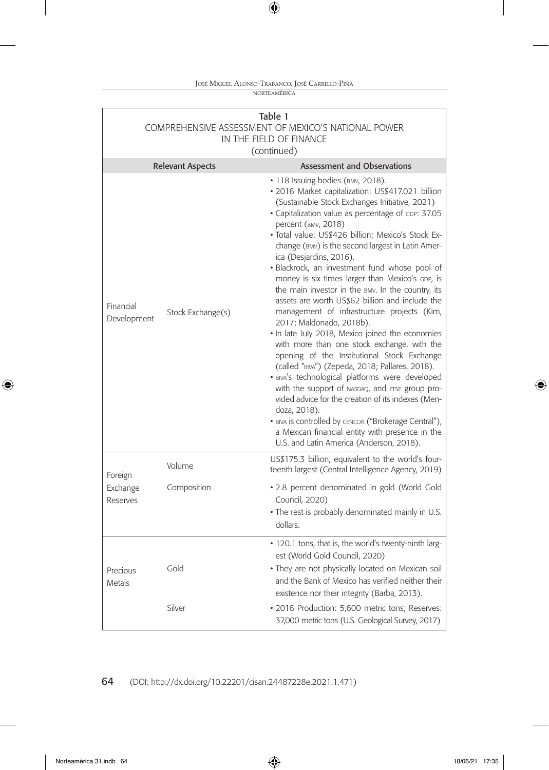NORTEAMÉRICA

| Table 1<br>COMPREHENSIVE ASSESSMENT OF MEXICO'S NATIONAL POWER<br>IN THE FIELD OF FINANCE<br>(continued) |                         |                                                                                                                                                                                                                                                                                                                                                                                                                                                                                                                                                                                                                                                                                                                                                                                                                                                                                                                                                                                                                                                                                                                                                                                             |  |  |  |  |
|----------------------------------------------------------------------------------------------------------|-------------------------|---------------------------------------------------------------------------------------------------------------------------------------------------------------------------------------------------------------------------------------------------------------------------------------------------------------------------------------------------------------------------------------------------------------------------------------------------------------------------------------------------------------------------------------------------------------------------------------------------------------------------------------------------------------------------------------------------------------------------------------------------------------------------------------------------------------------------------------------------------------------------------------------------------------------------------------------------------------------------------------------------------------------------------------------------------------------------------------------------------------------------------------------------------------------------------------------|--|--|--|--|
|                                                                                                          | <b>Relevant Aspects</b> | <b>Assessment and Observations</b>                                                                                                                                                                                                                                                                                                                                                                                                                                                                                                                                                                                                                                                                                                                                                                                                                                                                                                                                                                                                                                                                                                                                                          |  |  |  |  |
| Financial<br>Development                                                                                 | Stock Exchange(s)       | • 118 Issuing bodies (BMV, 2018).<br>· 2016 Market capitalization: US\$417.021 billion<br>(Sustainable Stock Exchanges Initiative, 2021)<br>· Capitalization value as percentage of GDP: 37.05<br>percent (BMV, 2018)<br>· Total value: US\$426 billion; Mexico's Stock Ex-<br>change (BMV) is the second largest in Latin Amer-<br>ica (Desjardins, 2016).<br>· Blackrock, an investment fund whose pool of<br>money is six times larger than Mexico's GDP, is<br>the main investor in the BMV. In the country, its<br>assets are worth US\$62 billion and include the<br>management of infrastructure projects (Kim,<br>2017; Maldonado, 2018b).<br>. In late July 2018, Mexico joined the economies<br>with more than one stock exchange, with the<br>opening of the Institutional Stock Exchange<br>(called "BIVA") (Zepeda, 2018; Pallares, 2018).<br>· BIVA's technological platforms were developed<br>with the support of NASDAQ, and FTSE group pro-<br>vided advice for the creation of its indexes (Men-<br>doza, 2018).<br>• BIVA is controlled by CENCOR ("Brokerage Central"),<br>a Mexican financial entity with presence in the<br>U.S. and Latin America (Anderson, 2018). |  |  |  |  |
| Foreign                                                                                                  | Volume                  | US\$175.3 billion, equivalent to the world's four-<br>teenth largest (Central Intelligence Agency, 2019)                                                                                                                                                                                                                                                                                                                                                                                                                                                                                                                                                                                                                                                                                                                                                                                                                                                                                                                                                                                                                                                                                    |  |  |  |  |
| Exchange<br>Reserves                                                                                     | Composition             | • 2.8 percent denominated in gold (World Gold<br>Council, 2020)<br>. The rest is probably denominated mainly in U.S.<br>dollars.                                                                                                                                                                                                                                                                                                                                                                                                                                                                                                                                                                                                                                                                                                                                                                                                                                                                                                                                                                                                                                                            |  |  |  |  |
| Precious<br>Metals                                                                                       | Gold<br>Silver          | • 120.1 tons, that is, the world's twenty-ninth larg-<br>est (World Gold Council, 2020)<br>• They are not physically located on Mexican soil<br>and the Bank of Mexico has verified neither their<br>existence nor their integrity (Barba, 2013).<br>· 2016 Production: 5,600 metric tons; Reserves:                                                                                                                                                                                                                                                                                                                                                                                                                                                                                                                                                                                                                                                                                                                                                                                                                                                                                        |  |  |  |  |
|                                                                                                          |                         | 37,000 metric tons (U.S. Geological Survey, 2017)                                                                                                                                                                                                                                                                                                                                                                                                                                                                                                                                                                                                                                                                                                                                                                                                                                                                                                                                                                                                                                                                                                                                           |  |  |  |  |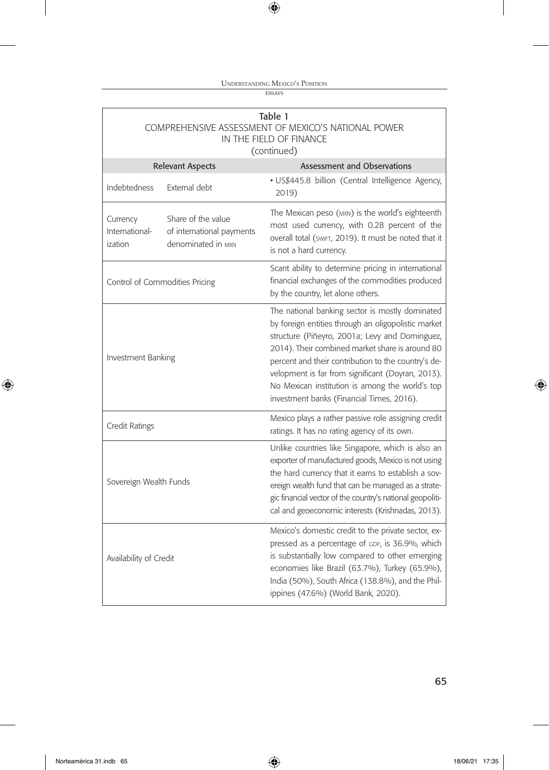Table 1 COMPREHENSIVE ASSESSMENT OF MEXICO'S NATIONAL POWER IN THE FIELD OF FINANCE (continued) Relevant Aspects Assessment and Observations Indebtedness External debt • US\$445.8 billion (Central Intelligence Agency, 2019) **Currency** Internationalization Share of the value of international payments denominated in mxn The Mexican peso (mxn) is the world's eighteenth most used currency, with 0.28 percent of the overall total (swift, 2019). It must be noted that it is not a hard currency. Control of Commodities Pricing Scant ability to determine pricing in international financial exchanges of the commodities produced by the country, let alone others. Investment Banking The national banking sector is mostly dominated by foreign entities through an oligopolistic market structure (Piñeyro, 2001a; Levy and Dominguez, 2014). Their combined market share is around 80 percent and their contribution to the country's development is far from significant (Doyran, 2013). No Mexican institution is among the world's top investment banks (Financial Times, 2016). Credit Ratings Mexico plays a rather passive role assigning credit ratings. It has no rating agency of its own. Sovereign Wealth Funds Unlike countries like Singapore, which is also an exporter of manufactured goods, Mexico is not using the hard currency that it earns to establish a sovereign wealth fund that can be managed as a strategic financial vector of the country's national geopolitical and geoeconomic interests (Krishnadas, 2013). Availability of Credit Mexico's domestic credit to the private sector, expressed as a percentage of GDP, is 36.9%, which is substantially low compared to other emerging economies like Brazil (63.7%), Turkey (65.9%), India (50%), South Africa (138.8%), and the Philippines (47.6%) (World Bank, 2020).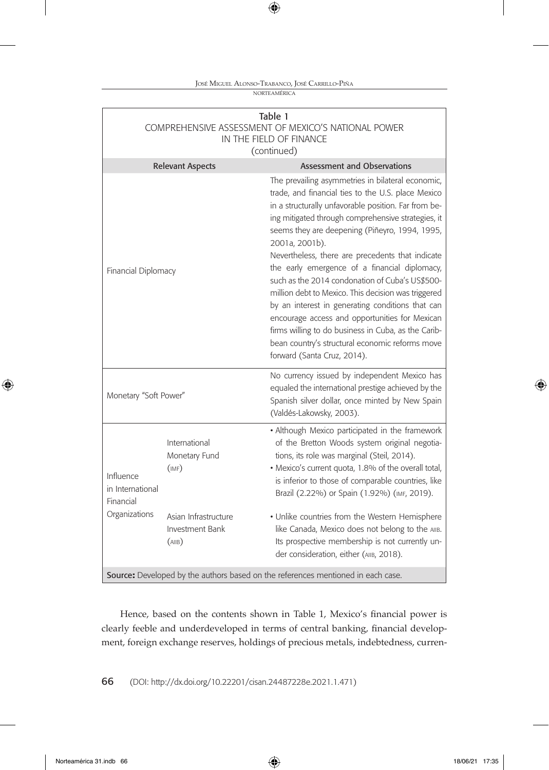norteamérica

| Table 1<br>COMPREHENSIVE ASSESSMENT OF MEXICO'S NATIONAL POWER<br>IN THE FIELD OF FINANCE<br>(continued) |                                                  |                                                                                                                                                                                                                                                                                                                                                                                                                                                                                                                                                                                                                                                                                                                                                         |  |  |  |  |
|----------------------------------------------------------------------------------------------------------|--------------------------------------------------|---------------------------------------------------------------------------------------------------------------------------------------------------------------------------------------------------------------------------------------------------------------------------------------------------------------------------------------------------------------------------------------------------------------------------------------------------------------------------------------------------------------------------------------------------------------------------------------------------------------------------------------------------------------------------------------------------------------------------------------------------------|--|--|--|--|
|                                                                                                          | <b>Relevant Aspects</b>                          | <b>Assessment and Observations</b>                                                                                                                                                                                                                                                                                                                                                                                                                                                                                                                                                                                                                                                                                                                      |  |  |  |  |
| Financial Diplomacy                                                                                      |                                                  | The prevailing asymmetries in bilateral economic,<br>trade, and financial ties to the U.S. place Mexico<br>in a structurally unfavorable position. Far from be-<br>ing mitigated through comprehensive strategies, it<br>seems they are deepening (Piñeyro, 1994, 1995,<br>2001a, 2001b).<br>Nevertheless, there are precedents that indicate<br>the early emergence of a financial diplomacy,<br>such as the 2014 condonation of Cuba's US\$500-<br>million debt to Mexico. This decision was triggered<br>by an interest in generating conditions that can<br>encourage access and opportunities for Mexican<br>firms willing to do business in Cuba, as the Carib-<br>bean country's structural economic reforms move<br>forward (Santa Cruz, 2014). |  |  |  |  |
| Monetary "Soft Power"                                                                                    |                                                  | No currency issued by independent Mexico has<br>equaled the international prestige achieved by the<br>Spanish silver dollar, once minted by New Spain<br>(Valdés-Lakowsky, 2003).                                                                                                                                                                                                                                                                                                                                                                                                                                                                                                                                                                       |  |  |  |  |
| Influence<br>in International<br>Financial                                                               | International<br>Monetary Fund<br>(MF)           | • Although Mexico participated in the framework<br>of the Bretton Woods system original negotia-<br>tions, its role was marginal (Steil, 2014).<br>• Mexico's current quota, 1.8% of the overall total,<br>is inferior to those of comparable countries, like<br>Brazil (2.22%) or Spain (1.92%) (IMF, 2019).                                                                                                                                                                                                                                                                                                                                                                                                                                           |  |  |  |  |
| Organizations                                                                                            | Asian Infrastructure<br>Investment Bank<br>(AIB) | • Unlike countries from the Western Hemisphere<br>like Canada, Mexico does not belong to the AIIB.<br>Its prospective membership is not currently un-<br>der consideration, either (AIIB, 2018).                                                                                                                                                                                                                                                                                                                                                                                                                                                                                                                                                        |  |  |  |  |
| Source: Developed by the authors based on the references mentioned in each case.                         |                                                  |                                                                                                                                                                                                                                                                                                                                                                                                                                                                                                                                                                                                                                                                                                                                                         |  |  |  |  |

Hence, based on the contents shown in Table 1, Mexico's financial power is clearly feeble and underdeveloped in terms of central banking, financial development, foreign exchange reserves, holdings of precious metals, indebtedness, curren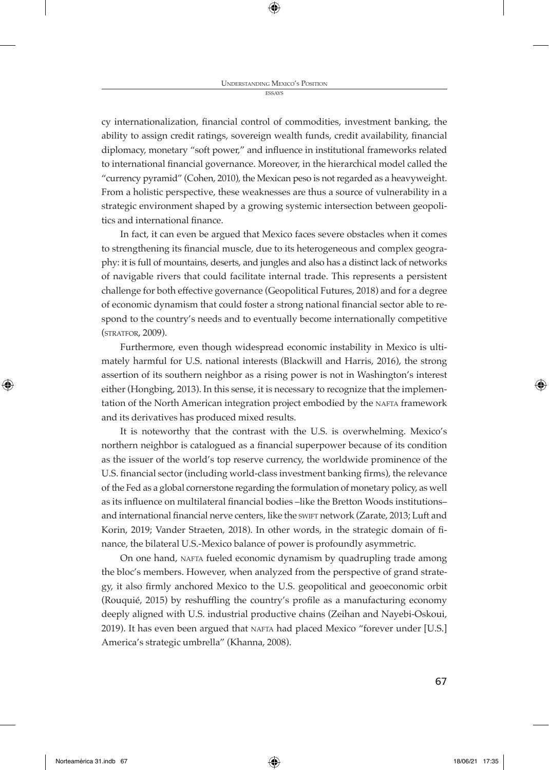cy internationalization, financial control of commodities, investment banking, the ability to assign credit ratings, sovereign wealth funds, credit availability, financial diplomacy, monetary "soft power," and influence in institutional frameworks related to international financial governance. Moreover, in the hierarchical model called the "currency pyramid" (Cohen, 2010), the Mexican peso is not regarded as a heavyweight. From a holistic perspective, these weaknesses are thus a source of vulnerability in a strategic environment shaped by a growing systemic intersection between geopolitics and international finance.

In fact, it can even be argued that Mexico faces severe obstacles when it comes to strengthening its financial muscle, due to its heterogeneous and complex geography: it is full of mountains, deserts, and jungles and also has a distinct lack of networks of navigable rivers that could facilitate internal trade. This represents a persistent challenge for both effective governance (Geopolitical Futures, 2018) and for a degree of economic dynamism that could foster a strong national financial sector able to respond to the country's needs and to eventually become internationally competitive (stratfor, 2009).

Furthermore, even though widespread economic instability in Mexico is ultimately harmful for U.S. national interests (Blackwill and Harris, 2016), the strong assertion of its southern neighbor as a rising power is not in Washington's interest either (Hongbing, 2013). In this sense, it is necessary to recognize that the implementation of the North American integration project embodied by the NAFTA framework and its derivatives has produced mixed results.

It is noteworthy that the contrast with the U.S. is overwhelming. Mexico's northern neighbor is catalogued as a financial superpower because of its condition as the issuer of the world's top reserve currency, the worldwide prominence of the U.S. financial sector (including world-class investment banking firms), the relevance of the Fed as a global cornerstone regarding the formulation of monetary policy, as well as its influence on multilateral financial bodies –like the Bretton Woods institutions– and international financial nerve centers, like the swift network (Zarate, 2013; Luft and Korin, 2019; Vander Straeten, 2018). In other words, in the strategic domain of finance, the bilateral U.S.-Mexico balance of power is profoundly asymmetric.

On one hand, NAFTA fueled economic dynamism by quadrupling trade among the bloc's members. However, when analyzed from the perspective of grand strategy, it also firmly anchored Mexico to the U.S. geopolitical and geoeconomic orbit (Rouquié, 2015) by reshuffling the country's profile as a manufacturing economy deeply aligned with U.S. industrial productive chains (Zeihan and Nayebi-Oskoui, 2019). It has even been argued that NAFTA had placed Mexico "forever under [U.S.] America's strategic umbrella" (Khanna, 2008).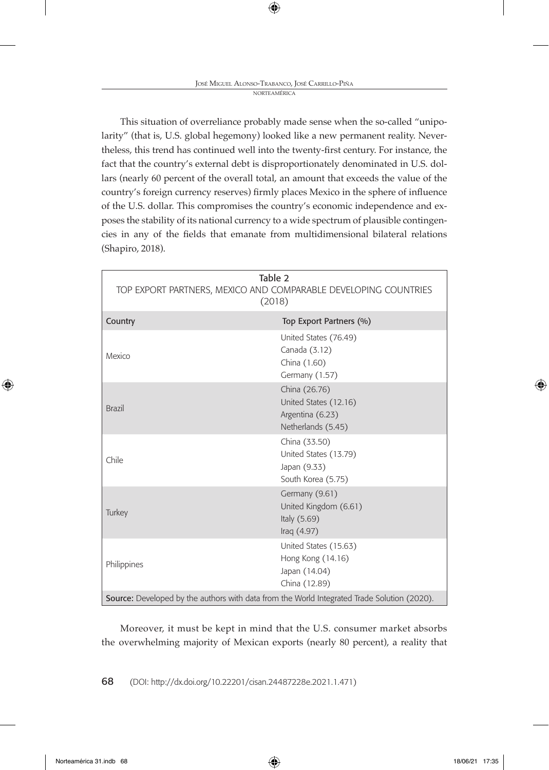This situation of overreliance probably made sense when the so-called "unipolarity" (that is, U.S. global hegemony) looked like a new permanent reality. Nevertheless, this trend has continued well into the twenty-first century. For instance, the fact that the country's external debt is disproportionately denominated in U.S. dollars (nearly 60 percent of the overall total, an amount that exceeds the value of the country's foreign currency reserves) firmly places Mexico in the sphere of influence of the U.S. dollar. This compromises the country's economic independence and exposes the stability of its national currency to a wide spectrum of plausible contingencies in any of the fields that emanate from multidimensional bilateral relations (Shapiro, 2018).

| Table 2<br>TOP EXPORT PARTNERS, MEXICO AND COMPARABLE DEVELOPING COUNTRIES<br>(2018)        |                                                                                  |  |  |  |
|---------------------------------------------------------------------------------------------|----------------------------------------------------------------------------------|--|--|--|
| Country                                                                                     | Top Export Partners (%)                                                          |  |  |  |
| Mexico                                                                                      | United States (76.49)<br>Canada (3.12)<br>China (1.60)<br>Germany (1.57)         |  |  |  |
| <b>Brazil</b>                                                                               | China (26.76)<br>United States (12.16)<br>Argentina (6.23)<br>Netherlands (5.45) |  |  |  |
| Chile                                                                                       | China (33.50)<br>United States (13.79)<br>Japan (9.33)<br>South Korea (5.75)     |  |  |  |
| Turkey                                                                                      | Germany (9.61)<br>United Kingdom (6.61)<br>Italy (5.69)<br>Iraq $(4.97)$         |  |  |  |
| Philippines                                                                                 | United States (15.63)<br>Hong Kong (14.16)<br>Japan (14.04)<br>China (12.89)     |  |  |  |
| Source: Developed by the authors with data from the World Integrated Trade Solution (2020). |                                                                                  |  |  |  |

Moreover, it must be kept in mind that the U.S. consumer market absorbs the overwhelming majority of Mexican exports (nearly 80 percent), a reality that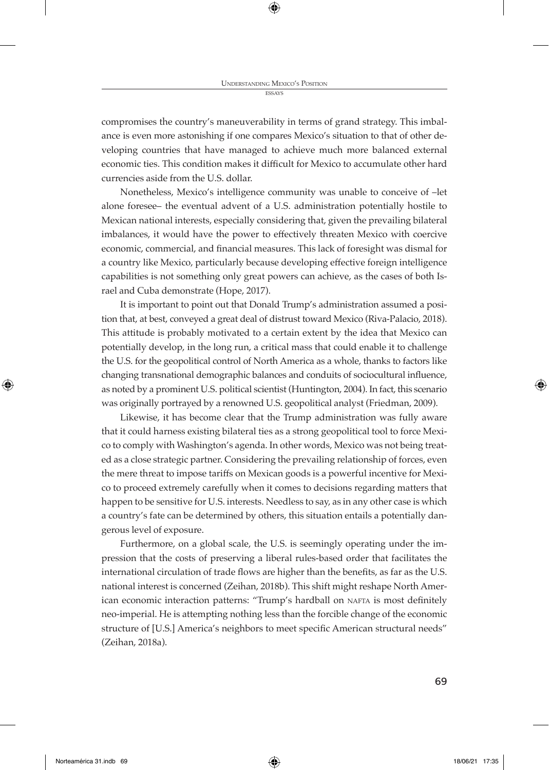compromises the country's maneuverability in terms of grand strategy. This imbalance is even more astonishing if one compares Mexico's situation to that of other developing countries that have managed to achieve much more balanced external economic ties. This condition makes it difficult for Mexico to accumulate other hard currencies aside from the U.S. dollar.

Nonetheless, Mexico's intelligence community was unable to conceive of –let alone foresee– the eventual advent of a U.S. administration potentially hostile to Mexican national interests, especially considering that, given the prevailing bilateral imbalances, it would have the power to effectively threaten Mexico with coercive economic, commercial, and financial measures. This lack of foresight was dismal for a country like Mexico, particularly because developing effective foreign intelligence capabilities is not something only great powers can achieve, as the cases of both Israel and Cuba demonstrate (Hope, 2017).

It is important to point out that Donald Trump's administration assumed a position that, at best, conveyed a great deal of distrust toward Mexico (Riva-Palacio, 2018). This attitude is probably motivated to a certain extent by the idea that Mexico can potentially develop, in the long run, a critical mass that could enable it to challenge the U.S. for the geopolitical control of North America as a whole, thanks to factors like changing transnational demographic balances and conduits of sociocultural influence, as noted by a prominent U.S. political scientist (Huntington, 2004). In fact, this scenario was originally portrayed by a renowned U.S. geopolitical analyst (Friedman, 2009).

Likewise, it has become clear that the Trump administration was fully aware that it could harness existing bilateral ties as a strong geopolitical tool to force Mexico to comply with Washington's agenda. In other words, Mexico was not being treated as a close strategic partner. Considering the prevailing relationship of forces, even the mere threat to impose tariffs on Mexican goods is a powerful incentive for Mexico to proceed extremely carefully when it comes to decisions regarding matters that happen to be sensitive for U.S. interests. Needless to say, as in any other case is which a country's fate can be determined by others, this situation entails a potentially dangerous level of exposure.

Furthermore, on a global scale, the U.S. is seemingly operating under the impression that the costs of preserving a liberal rules-based order that facilitates the international circulation of trade flows are higher than the benefits, as far as the U.S. national interest is concerned (Zeihan, 2018b). This shift might reshape North American economic interaction patterns: "Trump's hardball on NAFTA is most definitely neo-imperial. He is attempting nothing less than the forcible change of the economic structure of [U.S.] America's neighbors to meet specific American structural needs" (Zeihan, 2018a).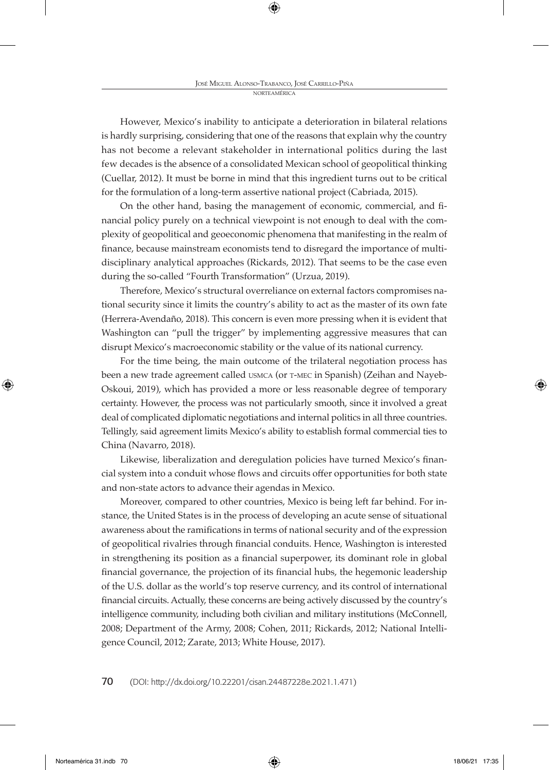However, Mexico's inability to anticipate a deterioration in bilateral relations is hardly surprising, considering that one of the reasons that explain why the country has not become a relevant stakeholder in international politics during the last few decades is the absence of a consolidated Mexican school of geopolitical thinking (Cuellar, 2012). It must be borne in mind that this ingredient turns out to be critical for the formulation of a long-term assertive national project (Cabriada, 2015).

On the other hand, basing the management of economic, commercial, and financial policy purely on a technical viewpoint is not enough to deal with the complexity of geopolitical and geoeconomic phenomena that manifesting in the realm of finance, because mainstream economists tend to disregard the importance of multidisciplinary analytical approaches (Rickards, 2012). That seems to be the case even during the so-called "Fourth Transformation" (Urzua, 2019).

Therefore, Mexico's structural overreliance on external factors compromises national security since it limits the country's ability to act as the master of its own fate (Herrera-Avendaño, 2018). This concern is even more pressing when it is evident that Washington can "pull the trigger" by implementing aggressive measures that can disrupt Mexico's macroeconomic stability or the value of its national currency.

For the time being, the main outcome of the trilateral negotiation process has been a new trade agreement called usmca (or t-mec in Spanish) (Zeihan and Nayeb-Oskoui, 2019), which has provided a more or less reasonable degree of temporary certainty. However, the process was not particularly smooth, since it involved a great deal of complicated diplomatic negotiations and internal politics in all three countries. Tellingly, said agreement limits Mexico's ability to establish formal commercial ties to China (Navarro, 2018).

Likewise, liberalization and deregulation policies have turned Mexico's financial system into a conduit whose flows and circuits offer opportunities for both state and non-state actors to advance their agendas in Mexico.

Moreover, compared to other countries, Mexico is being left far behind. For instance, the United States is in the process of developing an acute sense of situational awareness about the ramifications in terms of national security and of the expression of geopolitical rivalries through financial conduits. Hence, Washington is interested in strengthening its position as a financial superpower, its dominant role in global financial governance, the projection of its financial hubs, the hegemonic leadership of the U.S. dollar as the world's top reserve currency, and its control of international financial circuits. Actually, these concerns are being actively discussed by the country's intelligence community, including both civilian and military institutions (McConnell, 2008; Department of the Army, 2008; Cohen, 2011; Rickards, 2012; National Intelligence Council, 2012; Zarate, 2013; White House, 2017).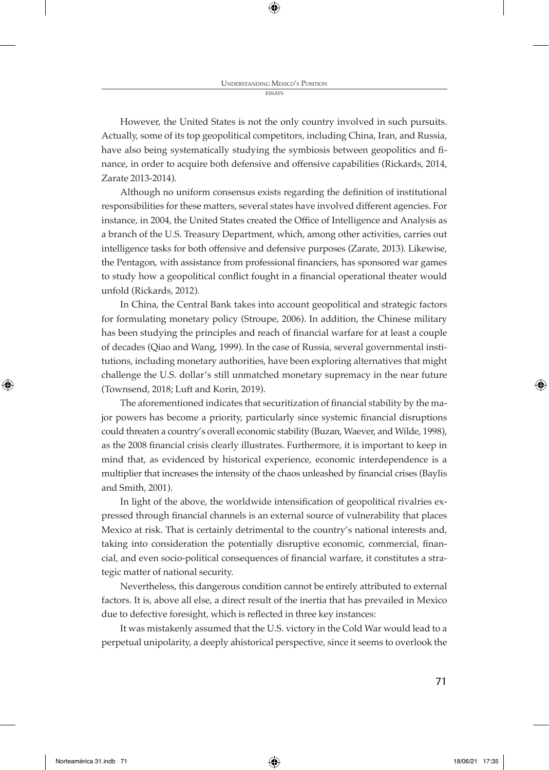However, the United States is not the only country involved in such pursuits. Actually, some of its top geopolitical competitors, including China, Iran, and Russia, have also being systematically studying the symbiosis between geopolitics and finance, in order to acquire both defensive and offensive capabilities (Rickards, 2014, Zarate 2013-2014).

Although no uniform consensus exists regarding the definition of institutional responsibilities for these matters, several states have involved different agencies. For instance, in 2004, the United States created the Office of Intelligence and Analysis as a branch of the U.S. Treasury Department, which, among other activities, carries out intelligence tasks for both offensive and defensive purposes (Zarate, 2013). Likewise, the Pentagon, with assistance from professional financiers, has sponsored war games to study how a geopolitical conflict fought in a financial operational theater would unfold (Rickards, 2012).

In China, the Central Bank takes into account geopolitical and strategic factors for formulating monetary policy (Stroupe, 2006). In addition, the Chinese military has been studying the principles and reach of financial warfare for at least a couple of decades (Qiao and Wang, 1999). In the case of Russia, several governmental institutions, including monetary authorities, have been exploring alternatives that might challenge the U.S. dollar's still unmatched monetary supremacy in the near future (Townsend, 2018; Luft and Korin, 2019).

The aforementioned indicates that securitization of financial stability by the major powers has become a priority, particularly since systemic financial disruptions could threaten a country's overall economic stability (Buzan, Waever, and Wilde, 1998), as the 2008 financial crisis clearly illustrates. Furthermore, it is important to keep in mind that, as evidenced by historical experience, economic interdependence is a multiplier that increases the intensity of the chaos unleashed by financial crises (Baylis and Smith, 2001).

In light of the above, the worldwide intensification of geopolitical rivalries expressed through financial channels is an external source of vulnerability that places Mexico at risk. That is certainly detrimental to the country's national interests and, taking into consideration the potentially disruptive economic, commercial, financial, and even socio-political consequences of financial warfare, it constitutes a strategic matter of national security.

Nevertheless, this dangerous condition cannot be entirely attributed to external factors. It is, above all else, a direct result of the inertia that has prevailed in Mexico due to defective foresight, which is reflected in three key instances:

It was mistakenly assumed that the U.S. victory in the Cold War would lead to a perpetual unipolarity, a deeply ahistorical perspective, since it seems to overlook the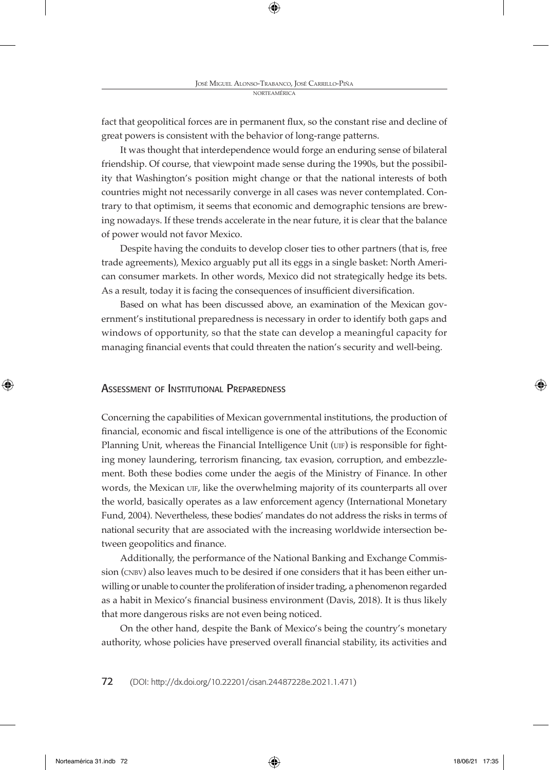fact that geopolitical forces are in permanent flux, so the constant rise and decline of great powers is consistent with the behavior of long-range patterns.

It was thought that interdependence would forge an enduring sense of bilateral friendship. Of course, that viewpoint made sense during the 1990s, but the possibility that Washington's position might change or that the national interests of both countries might not necessarily converge in all cases was never contemplated. Contrary to that optimism, it seems that economic and demographic tensions are brewing nowadays. If these trends accelerate in the near future, it is clear that the balance of power would not favor Mexico.

Despite having the conduits to develop closer ties to other partners (that is, free trade agreements), Mexico arguably put all its eggs in a single basket: North American consumer markets. In other words, Mexico did not strategically hedge its bets. As a result, today it is facing the consequences of insufficient diversification.

Based on what has been discussed above, an examination of the Mexican government's institutional preparedness is necessary in order to identify both gaps and windows of opportunity, so that the state can develop a meaningful capacity for managing financial events that could threaten the nation's security and well-being.

## Assessment of Institutional Preparedness

Concerning the capabilities of Mexican governmental institutions, the production of financial, economic and fiscal intelligence is one of the attributions of the Economic Planning Unit, whereas the Financial Intelligence Unit (UF) is responsible for fighting money laundering, terrorism financing, tax evasion, corruption, and embezzlement. Both these bodies come under the aegis of the Ministry of Finance. In other words, the Mexican UIF, like the overwhelming majority of its counterparts all over the world, basically operates as a law enforcement agency (International Monetary Fund, 2004). Nevertheless, these bodies' mandates do not address the risks in terms of national security that are associated with the increasing worldwide intersection between geopolitics and finance.

Additionally, the performance of the National Banking and Exchange Commission (cnbv) also leaves much to be desired if one considers that it has been either unwilling or unable to counter the proliferation of insider trading, a phenomenon regarded as a habit in Mexico's financial business environment (Davis, 2018). It is thus likely that more dangerous risks are not even being noticed.

On the other hand, despite the Bank of Mexico's being the country's monetary authority, whose policies have preserved overall financial stability, its activities and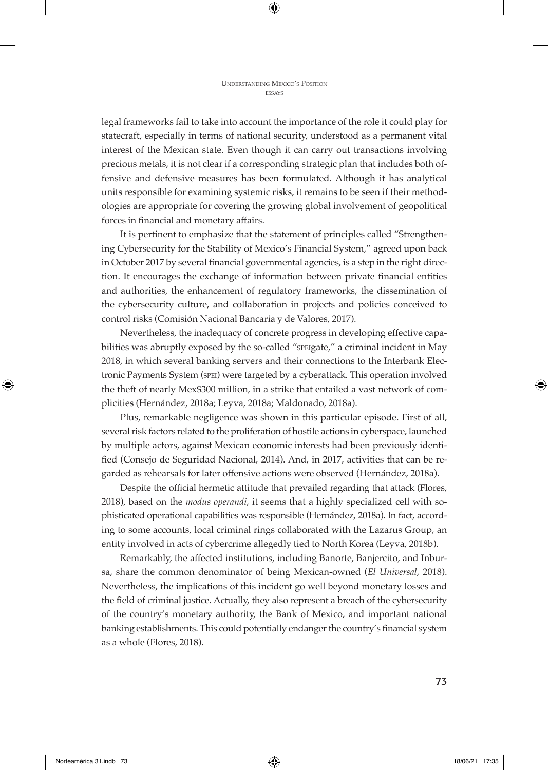legal frameworks fail to take into account the importance of the role it could play for statecraft, especially in terms of national security, understood as a permanent vital interest of the Mexican state. Even though it can carry out transactions involving precious metals, it is not clear if a corresponding strategic plan that includes both offensive and defensive measures has been formulated. Although it has analytical units responsible for examining systemic risks, it remains to be seen if their methodologies are appropriate for covering the growing global involvement of geopolitical forces in financial and monetary affairs.

It is pertinent to emphasize that the statement of principles called "Strengthening Cybersecurity for the Stability of Mexico's Financial System," agreed upon back in October 2017 by several financial governmental agencies, is a step in the right direction. It encourages the exchange of information between private financial entities and authorities, the enhancement of regulatory frameworks, the dissemination of the cybersecurity culture, and collaboration in projects and policies conceived to control risks (Comisión Nacional Bancaria y de Valores, 2017).

Nevertheless, the inadequacy of concrete progress in developing effective capabilities was abruptly exposed by the so-called "speigate," a criminal incident in May 2018, in which several banking servers and their connections to the Interbank Electronic Payments System (spei) were targeted by a cyberattack. This operation involved the theft of nearly Mex\$300 million, in a strike that entailed a vast network of complicities (Hernández, 2018a; Leyva, 2018a; Maldonado, 2018a).

Plus, remarkable negligence was shown in this particular episode. First of all, several risk factors related to the proliferation of hostile actions in cyberspace, launched by multiple actors, against Mexican economic interests had been previously identified (Consejo de Seguridad Nacional, 2014). And, in 2017, activities that can be regarded as rehearsals for later offensive actions were observed (Hernández, 2018a).

Despite the official hermetic attitude that prevailed regarding that attack (Flores, 2018), based on the *modus operandi*, it seems that a highly specialized cell with sophisticated operational capabilities was responsible (Hernández, 2018a). In fact, according to some accounts, local criminal rings collaborated with the Lazarus Group, an entity involved in acts of cybercrime allegedly tied to North Korea (Leyva, 2018b).

Remarkably, the affected institutions, including Banorte, Banjercito, and Inbursa, share the common denominator of being Mexican-owned (*El Universal*, 2018). Nevertheless, the implications of this incident go well beyond monetary losses and the field of criminal justice. Actually, they also represent a breach of the cybersecurity of the country's monetary authority, the Bank of Mexico, and important national banking establishments. This could potentially endanger the country's financial system as a whole (Flores, 2018).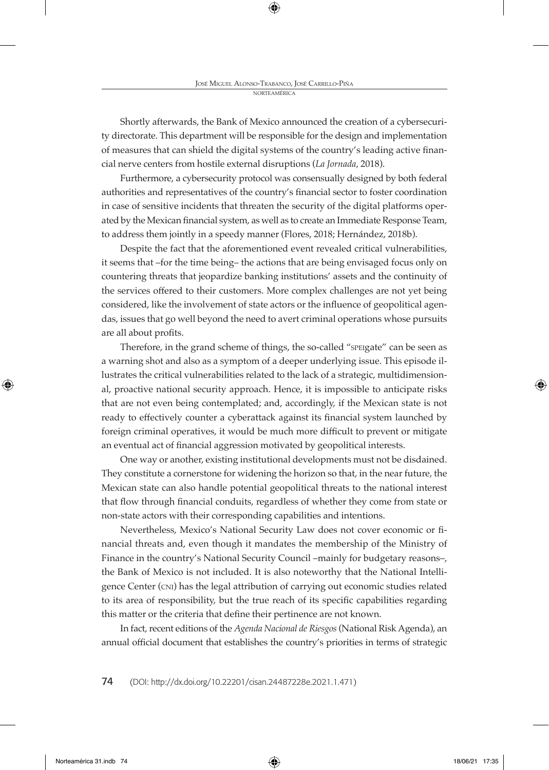Shortly afterwards, the Bank of Mexico announced the creation of a cybersecurity directorate. This department will be responsible for the design and implementation of measures that can shield the digital systems of the country's leading active financial nerve centers from hostile external disruptions (*La Jornada*, 2018).

Furthermore, a cybersecurity protocol was consensually designed by both federal authorities and representatives of the country's financial sector to foster coordination in case of sensitive incidents that threaten the security of the digital platforms operated by the Mexican financial system, as well as to create an Immediate Response Team, to address them jointly in a speedy manner (Flores, 2018; Hernández, 2018b).

Despite the fact that the aforementioned event revealed critical vulnerabilities, it seems that –for the time being– the actions that are being envisaged focus only on countering threats that jeopardize banking institutions' assets and the continuity of the services offered to their customers. More complex challenges are not yet being considered, like the involvement of state actors or the influence of geopolitical agendas, issues that go well beyond the need to avert criminal operations whose pursuits are all about profits.

Therefore, in the grand scheme of things, the so-called "speigate" can be seen as a warning shot and also as a symptom of a deeper underlying issue. This episode illustrates the critical vulnerabilities related to the lack of a strategic, multidimensional, proactive national security approach. Hence, it is impossible to anticipate risks that are not even being contemplated; and, accordingly, if the Mexican state is not ready to effectively counter a cyberattack against its financial system launched by foreign criminal operatives, it would be much more difficult to prevent or mitigate an eventual act of financial aggression motivated by geopolitical interests.

One way or another, existing institutional developments must not be disdained. They constitute a cornerstone for widening the horizon so that, in the near future, the Mexican state can also handle potential geopolitical threats to the national interest that flow through financial conduits, regardless of whether they come from state or non-state actors with their corresponding capabilities and intentions.

Nevertheless, Mexico's National Security Law does not cover economic or financial threats and, even though it mandates the membership of the Ministry of Finance in the country's National Security Council –mainly for budgetary reasons–, the Bank of Mexico is not included. It is also noteworthy that the National Intelligence Center (cni) has the legal attribution of carrying out economic studies related to its area of responsibility, but the true reach of its specific capabilities regarding this matter or the criteria that define their pertinence are not known.

In fact, recent editions of the *Agenda Nacional de Riesgos* (National Risk Agenda), an annual official document that establishes the country's priorities in terms of strategic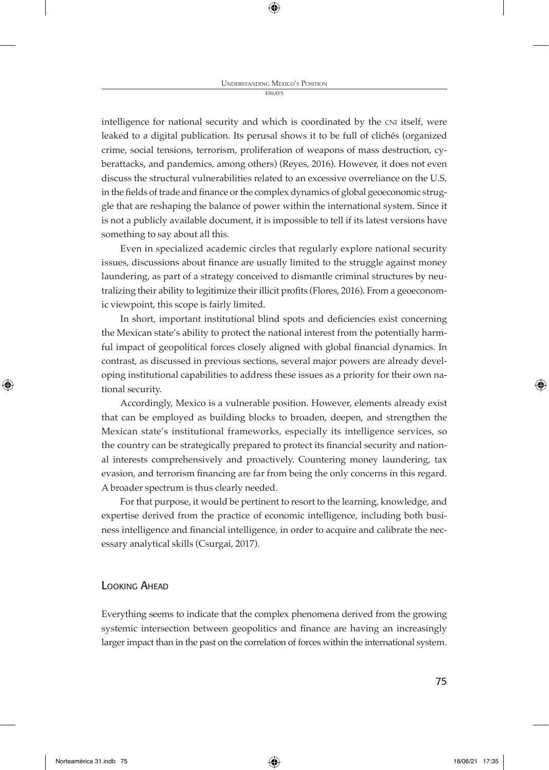intelligence for national security and which is coordinated by the cni itself, were leaked to a digital publication. Its perusal shows it to be full of clichés (organized crime, social tensions, terrorism, proliferation of weapons of mass destruction, cyberattacks, and pandemics, among others) (Reyes, 2016). However, it does not even discuss the structural vulnerabilities related to an excessive overreliance on the U.S. in the fields of trade and finance or the complex dynamics of global geoeconomic struggle that are reshaping the balance of power within the international system. Since it is not a publicly available document, it is impossible to tell if its latest versions have something to say about all this.

Even in specialized academic circles that regularly explore national security issues, discussions about finance are usually limited to the struggle against money laundering, as part of a strategy conceived to dismantle criminal structures by neutralizing their ability to legitimize their illicit profits (Flores, 2016). From a geoeconomic viewpoint, this scope is fairly limited.

In short, important institutional blind spots and deficiencies exist concerning the Mexican state's ability to protect the national interest from the potentially harmful impact of geopolitical forces closely aligned with global financial dynamics. In contrast, as discussed in previous sections, several major powers are already developing institutional capabilities to address these issues as a priority for their own national security.

Accordingly, Mexico is a vulnerable position. However, elements already exist that can be employed as building blocks to broaden, deepen, and strengthen the Mexican state's institutional frameworks, especially its intelligence services, so the country can be strategically prepared to protect its financial security and national interests comprehensively and proactively. Countering money laundering, tax evasion, and terrorism financing are far from being the only concerns in this regard. A broader spectrum is thus clearly needed.

For that purpose, it would be pertinent to resort to the learning, knowledge, and expertise derived from the practice of economic intelligence, including both business intelligence and financial intelligence, in order to acquire and calibrate the necessary analytical skills (Csurgai, 2017).

## LOOKING AHFAD

Everything seems to indicate that the complex phenomena derived from the growing systemic intersection between geopolitics and finance are having an increasingly larger impact than in the past on the correlation of forces within the international system.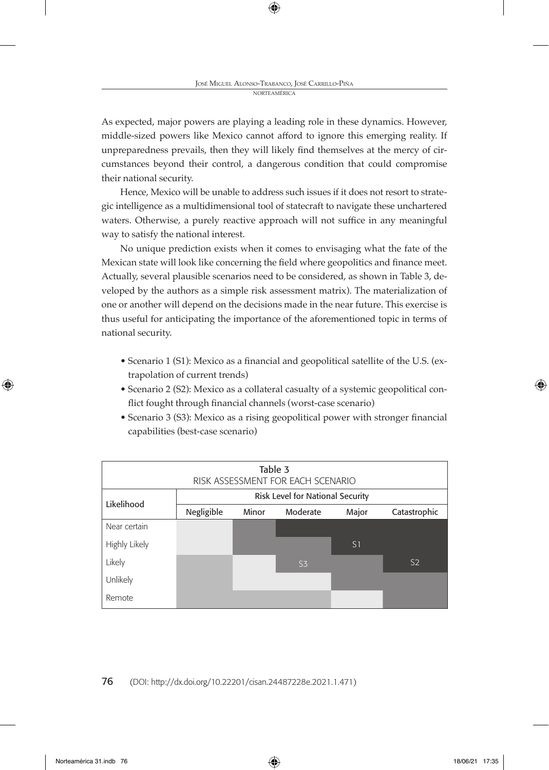As expected, major powers are playing a leading role in these dynamics. However, middle-sized powers like Mexico cannot afford to ignore this emerging reality. If unpreparedness prevails, then they will likely find themselves at the mercy of circumstances beyond their control, a dangerous condition that could compromise their national security.

Hence, Mexico will be unable to address such issues if it does not resort to strategic intelligence as a multidimensional tool of statecraft to navigate these unchartered waters. Otherwise, a purely reactive approach will not suffice in any meaningful way to satisfy the national interest.

No unique prediction exists when it comes to envisaging what the fate of the Mexican state will look like concerning the field where geopolitics and finance meet. Actually, several plausible scenarios need to be considered, as shown in Table 3, developed by the authors as a simple risk assessment matrix). The materialization of one or another will depend on the decisions made in the near future. This exercise is thus useful for anticipating the importance of the aforementioned topic in terms of national security.

- Scenario 1 (S1): Mexico as a financial and geopolitical satellite of the U.S. (extrapolation of current trends)
- Scenario 2 (S2): Mexico as a collateral casualty of a systemic geopolitical conflict fought through financial channels (worst-case scenario)
- Scenario 3 (S3): Mexico as a rising geopolitical power with stronger financial capabilities (best-case scenario)

| Table 3<br>RISK ASSESSMENT FOR EACH SCENARIO |                                         |       |                |                |                |  |  |
|----------------------------------------------|-----------------------------------------|-------|----------------|----------------|----------------|--|--|
| Likelihood                                   | <b>Risk Level for National Security</b> |       |                |                |                |  |  |
|                                              | Negligible                              | Minor | Moderate       | Major          | Catastrophic   |  |  |
| Near certain                                 |                                         |       |                |                |                |  |  |
| Highly Likely                                |                                         |       |                | S <sub>1</sub> |                |  |  |
| Likely                                       |                                         |       | S <sub>3</sub> |                | S <sub>2</sub> |  |  |
| Unlikely                                     |                                         |       |                |                |                |  |  |
| Remote                                       |                                         |       |                |                |                |  |  |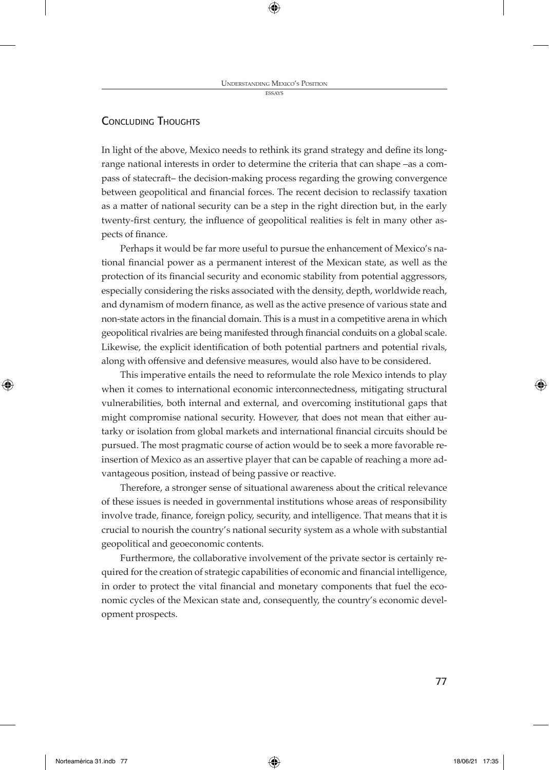## CONCLUDING THOUGHTS

In light of the above, Mexico needs to rethink its grand strategy and define its longrange national interests in order to determine the criteria that can shape –as a compass of statecraft– the decision-making process regarding the growing convergence between geopolitical and financial forces. The recent decision to reclassify taxation as a matter of national security can be a step in the right direction but, in the early twenty-first century, the influence of geopolitical realities is felt in many other aspects of finance.

Perhaps it would be far more useful to pursue the enhancement of Mexico's national financial power as a permanent interest of the Mexican state, as well as the protection of its financial security and economic stability from potential aggressors, especially considering the risks associated with the density, depth, worldwide reach, and dynamism of modern finance, as well as the active presence of various state and non-state actors in the financial domain. This is a must in a competitive arena in which geopolitical rivalries are being manifested through financial conduits on a global scale. Likewise, the explicit identification of both potential partners and potential rivals, along with offensive and defensive measures, would also have to be considered.

This imperative entails the need to reformulate the role Mexico intends to play when it comes to international economic interconnectedness, mitigating structural vulnerabilities, both internal and external, and overcoming institutional gaps that might compromise national security. However, that does not mean that either autarky or isolation from global markets and international financial circuits should be pursued. The most pragmatic course of action would be to seek a more favorable reinsertion of Mexico as an assertive player that can be capable of reaching a more advantageous position, instead of being passive or reactive.

Therefore, a stronger sense of situational awareness about the critical relevance of these issues is needed in governmental institutions whose areas of responsibility involve trade, finance, foreign policy, security, and intelligence. That means that it is crucial to nourish the country's national security system as a whole with substantial geopolitical and geoeconomic contents.

Furthermore, the collaborative involvement of the private sector is certainly required for the creation of strategic capabilities of economic and financial intelligence, in order to protect the vital financial and monetary components that fuel the economic cycles of the Mexican state and, consequently, the country's economic development prospects.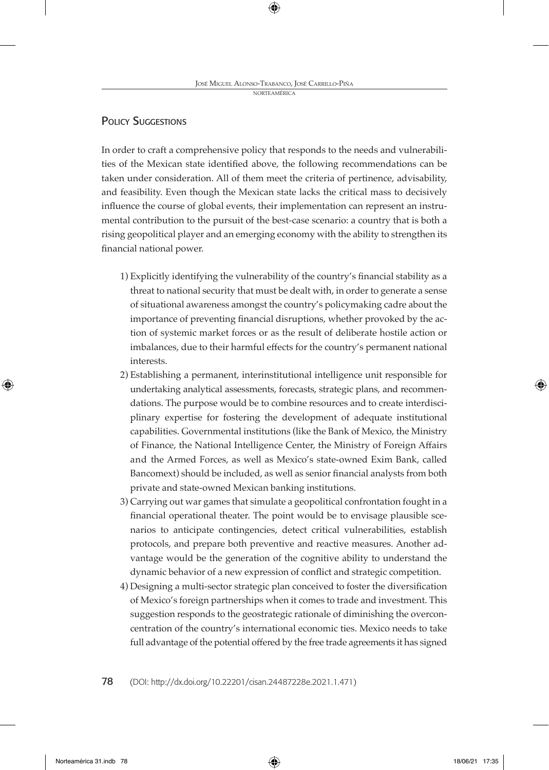## POLICY SUGGESTIONS

In order to craft a comprehensive policy that responds to the needs and vulnerabilities of the Mexican state identified above, the following recommendations can be taken under consideration. All of them meet the criteria of pertinence, advisability, and feasibility. Even though the Mexican state lacks the critical mass to decisively influence the course of global events, their implementation can represent an instrumental contribution to the pursuit of the best-case scenario: a country that is both a rising geopolitical player and an emerging economy with the ability to strengthen its financial national power.

- 1) Explicitly identifying the vulnerability of the country's financial stability as a threat to national security that must be dealt with, in order to generate a sense of situational awareness amongst the country's policymaking cadre about the importance of preventing financial disruptions, whether provoked by the action of systemic market forces or as the result of deliberate hostile action or imbalances, due to their harmful effects for the country's permanent national interests.
- 2) Establishing a permanent, interinstitutional intelligence unit responsible for undertaking analytical assessments, forecasts, strategic plans, and recommendations. The purpose would be to combine resources and to create interdisciplinary expertise for fostering the development of adequate institutional capabilities. Governmental institutions (like the Bank of Mexico, the Ministry of Finance, the National Intelligence Center, the Ministry of Foreign Affairs and the Armed Forces, as well as Mexico's state-owned Exim Bank, called Bancomext) should be included, as well as senior financial analysts from both private and state-owned Mexican banking institutions.
- 3) Carrying out war games that simulate a geopolitical confrontation fought in a financial operational theater. The point would be to envisage plausible scenarios to anticipate contingencies, detect critical vulnerabilities, establish protocols, and prepare both preventive and reactive measures. Another advantage would be the generation of the cognitive ability to understand the dynamic behavior of a new expression of conflict and strategic competition.
- 4) Designing a multi-sector strategic plan conceived to foster the diversification of Mexico's foreign partnerships when it comes to trade and investment. This suggestion responds to the geostrategic rationale of diminishing the overconcentration of the country's international economic ties. Mexico needs to take full advantage of the potential offered by the free trade agreements it has signed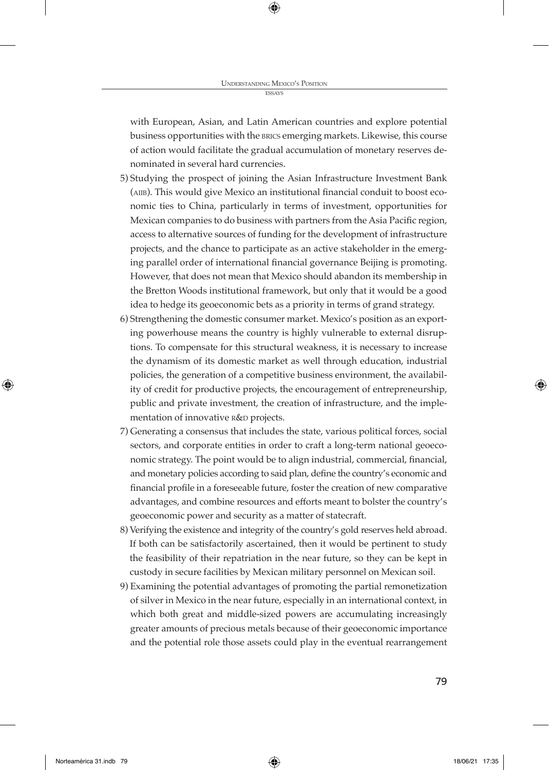with European, Asian, and Latin American countries and explore potential business opportunities with the brics emerging markets. Likewise, this course of action would facilitate the gradual accumulation of monetary reserves denominated in several hard currencies.

- 5) Studying the prospect of joining the Asian Infrastructure Investment Bank (AIIB). This would give Mexico an institutional financial conduit to boost economic ties to China, particularly in terms of investment, opportunities for Mexican companies to do business with partners from the Asia Pacific region, access to alternative sources of funding for the development of infrastructure projects, and the chance to participate as an active stakeholder in the emerging parallel order of international financial governance Beijing is promoting. However, that does not mean that Mexico should abandon its membership in the Bretton Woods institutional framework, but only that it would be a good idea to hedge its geoeconomic bets as a priority in terms of grand strategy.
- 6) Strengthening the domestic consumer market. Mexico's position as an exporting powerhouse means the country is highly vulnerable to external disruptions. To compensate for this structural weakness, it is necessary to increase the dynamism of its domestic market as well through education, industrial policies, the generation of a competitive business environment, the availability of credit for productive projects, the encouragement of entrepreneurship, public and private investment, the creation of infrastructure, and the implementation of innovative R&D projects.
- 7) Generating a consensus that includes the state, various political forces, social sectors, and corporate entities in order to craft a long-term national geoeconomic strategy. The point would be to align industrial, commercial, financial, and monetary policies according to said plan, define the country's economic and financial profile in a foreseeable future, foster the creation of new comparative advantages, and combine resources and efforts meant to bolster the country's geoeconomic power and security as a matter of statecraft.
- 8) Verifying the existence and integrity of the country's gold reserves held abroad. If both can be satisfactorily ascertained, then it would be pertinent to study the feasibility of their repatriation in the near future, so they can be kept in custody in secure facilities by Mexican military personnel on Mexican soil.
- 9) Examining the potential advantages of promoting the partial remonetization of silver in Mexico in the near future, especially in an international context, in which both great and middle-sized powers are accumulating increasingly greater amounts of precious metals because of their geoeconomic importance and the potential role those assets could play in the eventual rearrangement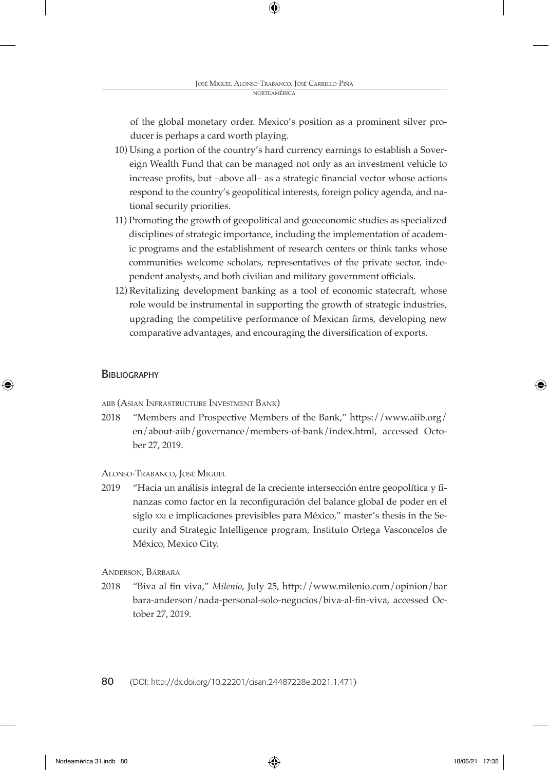of the global monetary order. Mexico's position as a prominent silver producer is perhaps a card worth playing.

- 10) Using a portion of the country's hard currency earnings to establish a Sovereign Wealth Fund that can be managed not only as an investment vehicle to increase profits, but –above all– as a strategic financial vector whose actions respond to the country's geopolitical interests, foreign policy agenda, and national security priorities.
- 11) Promoting the growth of geopolitical and geoeconomic studies as specialized disciplines of strategic importance, including the implementation of academic programs and the establishment of research centers or think tanks whose communities welcome scholars, representatives of the private sector, independent analysts, and both civilian and military government officials.
- 12) Revitalizing development banking as a tool of economic statecraft, whose role would be instrumental in supporting the growth of strategic industries, upgrading the competitive performance of Mexican firms, developing new comparative advantages, and encouraging the diversification of exports.

## **BIBLIOGRAPHY**

aiib (Asian Infrastructure Investment Bank)

2018 "Members and Prospective Members of the Bank," https://www.aiib.org/ en/about-aiib/governance/members-of-bank/index.html, accessed October 27, 2019.

## Alonso-Trabanco, José Miguel

2019 "Hacia un análisis integral de la creciente intersección entre geopolítica y finanzas como factor en la reconfiguración del balance global de poder en el siglo xxi e implicaciones previsibles para México," master's thesis in the Security and Strategic Intelligence program, Instituto Ortega Vasconcelos de México, Mexico City.

Anderson, Bárbara

2018 "Biva al fin viva," *Milenio*, July 25, http://www.milenio.com/opinion/bar bara-anderson/nada-personal-solo-negocios/biva-al-fin-viva, accessed October 27, 2019.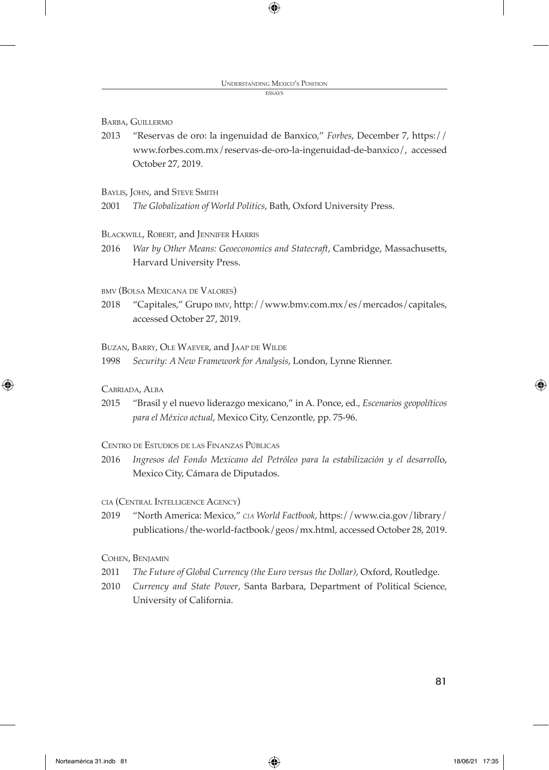#### essays

BARBA, GUILLERMO

2013 "Reservas de oro: la ingenuidad de Banxico," *Forbes*, December 7, https:// www.forbes.com.mx/reservas-de-oro-la-ingenuidad-de-banxico/, accessed October 27, 2019.

BAYLIS, JOHN, and STEVE SMITH

2001 *The Globalization of World Politics*, Bath, Oxford University Press.

Blackwill, Robert, and Jennifer Harris

2016 *War by Other Means: Geoeconomics and Statecraft*, Cambridge, Massachusetts, Harvard University Press.

bmv (Bolsa Mexicana de Valores)

2018 "Capitales," Grupo bmv, http://www.bmv.com.mx/es/mercados/capitales, accessed October 27, 2019.

Buzan, Barry, Ole Waever, and Jaap de Wilde

1998 *Security: A New Framework for Analysis*, London, Lynne Rienner.

Cabriada, Alba

2015 "Brasil y el nuevo liderazgo mexicano," in A. Ponce, ed., *Escenarios geopolíticos para el México actual*, Mexico City, Cenzontle, pp. 75-96.

Centro de Estudios de las Finanzas Públicas

2016 *Ingresos del Fondo Mexicano del Petróleo para la estabilización y el desarroll*o, Mexico City, Cámara de Diputados.

cia (Central Intelligence Agency)

2019 "North America: Mexico," *cia World Factbook*, https://www.cia.gov/library/ publications/the-world-factbook/geos/mx.html, accessed October 28, 2019.

Cohen, Benjamin

- 2011 *The Future of Global Currency (the Euro versus the Dollar)*, Oxford, Routledge.
- 2010 *Currency and State Power*, Santa Barbara, Department of Political Science, University of California.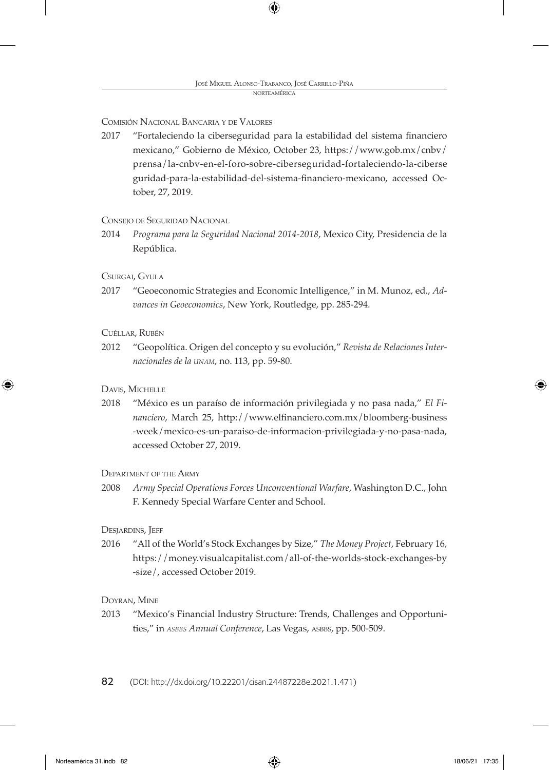## Comisión Nacional Bancaria <sup>y</sup> de Valores

2017 "Fortaleciendo la ciberseguridad para la estabilidad del sistema financiero mexicano," Gobierno de México, October 23, https://www.gob.mx/cnbv/ prensa/la-cnbv-en-el-foro-sobre-ciberseguridad-fortaleciendo-la-ciberse guridad-para-la-estabilidad-del-sistema-financiero-mexicano, accessed October, 27, 2019.

## Consejo de Seguridad Nacional

2014 *Programa para la Seguridad Nacional 2014-2018*, Mexico City, Presidencia de la República.

## Csurgai, Gyula

2017 "Geoeconomic Strategies and Economic Intelligence," in M. Munoz, ed., *Advances in Geoeconomics*, New York, Routledge, pp. 285-294.

## Cuéllar, Rubén

2012 "Geopolítica. Origen del concepto y su evolución," *Revista de Relaciones Internacionales de la unam*, no. 113, pp. 59-80.

## Davis, Michelle

2018 "México es un paraíso de información privilegiada y no pasa nada," *El Financiero*, March 25, http://www.elfinanciero.com.mx/bloomberg-business -week/mexico-es-un-paraiso-de-informacion-privilegiada-y-no-pasa-nada, accessed October 27, 2019.

## Department of the Army

2008 *Army Special Operations Forces Unconventional Warfare*, Washington D.C., John F. Kennedy Special Warfare Center and School.

## DESJARDINS, JEFF

2016 "All of the World's Stock Exchanges by Size," *The Money Project*, February 16, https://money.visualcapitalist.com/all-of-the-worlds-stock-exchanges-by -size/, accessed October 2019.

## Doyran, Mine

2013 "Mexico's Financial Industry Structure: Trends, Challenges and Opportunities," in *ASBBS Annual Conference*, Las Vegas, *ASBBS*, pp. 500-509.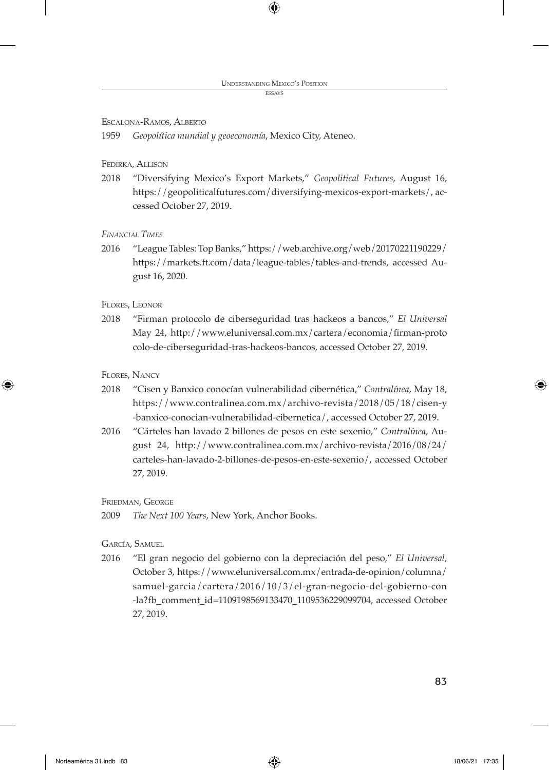#### $rcc$

## Escalona-Ramos, Alberto

1959 *Geopolítica mundial y geoeconomía*, Mexico City, Ateneo.

## Fedirka, Allison

2018 "Diversifying Mexico's Export Markets," *Geopolitical Futures*, August 16, https://geopoliticalfutures.com/diversifying-mexicos-export-markets/, accessed October 27, 2019.

## *Financial Times*

2016 "League Tables: Top Banks," https://web.archive.org/web/20170221190229/ https://markets.ft.com/data/league-tables/tables-and-trends, accessed August 16, 2020.

## Flores, Leonor

2018 "Firman protocolo de ciberseguridad tras hackeos a bancos," *El Universal* May 24, http://www.eluniversal.com.mx/cartera/economia/firman-proto colo-de-ciberseguridad-tras-hackeos-bancos, accessed October 27, 2019.

## Flores, Nancy

- 2018 "Cisen y Banxico conocían vulnerabilidad cibernética," *Contralínea*, May 18, https://www.contralinea.com.mx/archivo-revista/2018/05/18/cisen-y -banxico-conocian-vulnerabilidad-cibernetica/, accessed October 27, 2019.
- 2016 "Cárteles han lavado 2 billones de pesos en este sexenio," *Contralínea*, August 24, http://www.contralinea.com.mx/archivo-revista/2016/08/24/ carteles-han-lavado-2-billones-de-pesos-en-este-sexenio/, accessed October 27, 2019.

## Friedman, George

2009 *The Next 100 Years*, New York, Anchor Books.

## García, Samuel

2016 "El gran negocio del gobierno con la depreciación del peso," *El Universal*, October 3, https://www.eluniversal.com.mx/entrada-de-opinion/columna/ samuel-garcia/cartera/2016/10/3/el-gran-negocio-del-gobierno-con -la?fb\_comment\_id=1109198569133470\_1109536229099704, accessed October 27, 2019.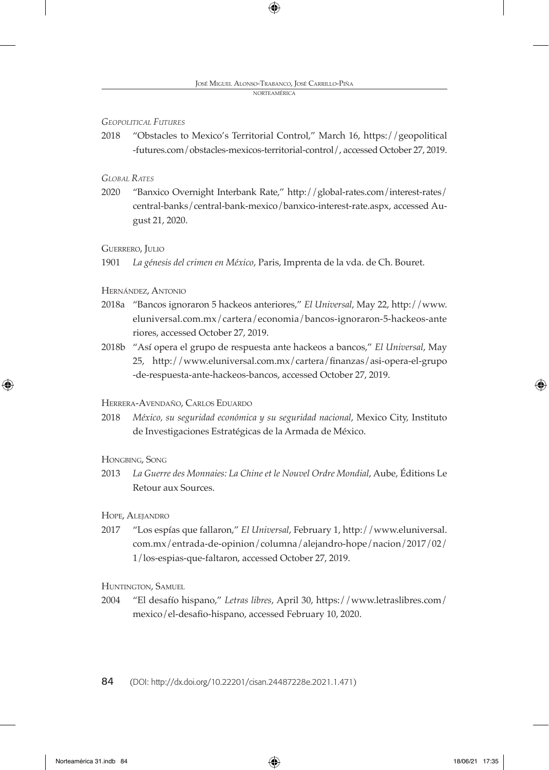## *Geopolitical Futures*

2018 "Obstacles to Mexico's Territorial Control," March 16, https://geopolitical -futures.com/obstacles-mexicos-territorial-control/, accessed October 27, 2019.

## *Global Rates*

2020 "Banxico Overnight Interbank Rate," http://global-rates.com/interest-rates/ central-banks/central-bank-mexico/banxico-interest-rate.aspx, accessed August 21, 2020.

## Guerrero, Julio

1901 *La génesis del crimen en México*, Paris, Imprenta de la vda. de Ch. Bouret.

## Hernández, Antonio

- 2018a "Bancos ignoraron 5 hackeos anteriores," *El Universal*, May 22, http://www. eluniversal.com.mx/cartera/economia/bancos-ignoraron-5-hackeos-ante riores, accessed October 27, 2019.
- 2018b "Así opera el grupo de respuesta ante hackeos a bancos," *El Universal*, May 25, http://www.eluniversal.com.mx/cartera/finanzas/asi-opera-el-grupo -de-respuesta-ante-hackeos-bancos, accessed October 27, 2019.

#### Herrera-Avendaño, Carlos Eduardo

2018 *México, su seguridad económica y su seguridad nacional*, Mexico City, Instituto de Investigaciones Estratégicas de la Armada de México.

Hongbing, Song

2013 *La Guerre des Monnaies: La Chine et le Nouvel Ordre Mondial*, Aube, Éditions Le Retour aux Sources.

## Hope, Alejandro

2017 "Los espías que fallaron," *El Universal*, February 1, http://www.eluniversal. com.mx/entrada-de-opinion/columna/alejandro-hope/nacion/2017/02/ 1/los-espias-que-faltaron, accessed October 27, 2019.

Huntington, Samuel

2004 "El desafío hispano," *Letras libres*, April 30, https://www.letraslibres.com/ mexico/el-desafio-hispano, accessed February 10, 2020.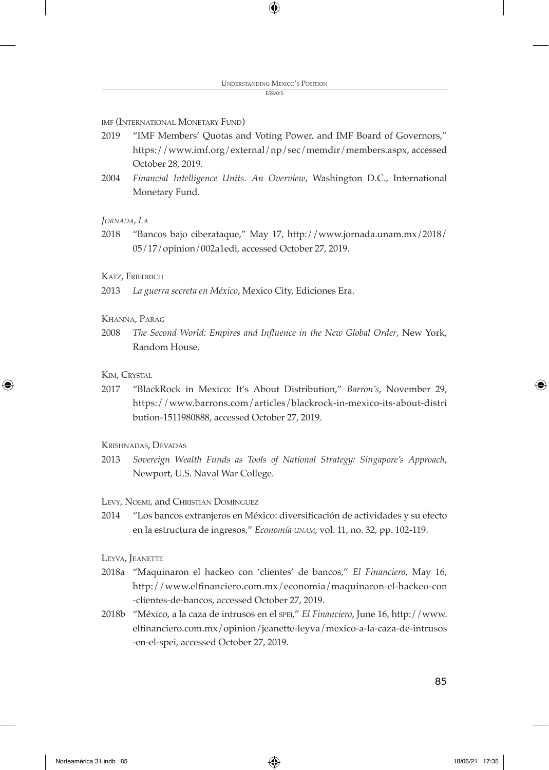imf (International Monetary Fund)

- 2019 "IMF Members' Quotas and Voting Power, and IMF Board of Governors," https://www.imf.org/external/np/sec/memdir/members.aspx, accessed October 28, 2019.
- 2004 *Financial Intelligence Units. An Overview*, Washington D.C., International Monetary Fund.

## *Jornada, La*

2018 "Bancos bajo ciberataque," May 17, http://www.jornada.unam.mx/2018/ 05/17/opinion/002a1edi, accessed October 27, 2019.

Katz, Friedrich

2013 *La guerra secreta en México*, Mexico City, Ediciones Era.

## Khanna, Parag

2008 *The Second World: Empires and Influence in the New Global Order*, New York, Random House.

## KIM, CRYSTAL

2017 "BlackRock in Mexico: It's About Distribution," *Barron's*, November 29, https://www.barrons.com/articles/blackrock-in-mexico-its-about-distri bution-1511980888, accessed October 27, 2019.

Krishnadas, Devadas

2013 *Sovereign Wealth Funds as Tools of National Strategy: Singapore's Approach*, Newport, U.S. Naval War College.

Levy, Noemi, and Christian Domínguez

2014 "Los bancos extranjeros en México: diversificación de actividades y su efecto en la estructura de ingresos," *Economía unam*, vol. 11, no. 32, pp. 102-119.

LEYVA, JEANETTE

- 2018a "Maquinaron el hackeo con 'clientes' de bancos," *El Financiero*, May 16, http://www.elfinanciero.com.mx/economia/maquinaron-el-hackeo-con -clientes-de-bancos, accessed October 27, 2019.
- 2018b "México, a la caza de intrusos en el spei," *El Financiero*, June 16, http://www. elfinanciero.com.mx/opinion/jeanette-leyva/mexico-a-la-caza-de-intrusos -en-el-spei, accessed October 27, 2019.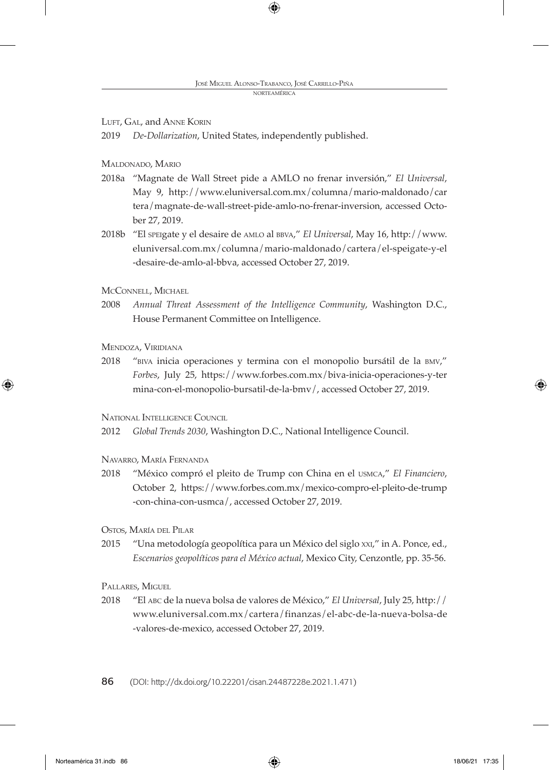## LUFT, GAL, and ANNE KORIN

2019 *De-Dollarization*, United States, independently published.

## Maldonado, Mario

- 2018a "Magnate de Wall Street pide a AMLO no frenar inversión," *El Universal*, May 9, http://www.eluniversal.com.mx/columna/mario-maldonado/car tera/magnate-de-wall-street-pide-amlo-no-frenar-inversion, accessed October 27, 2019.
- 2018b "El speigate y el desaire de amlo al bbva," *El Universal*, May 16, http://www. eluniversal.com.mx/columna/mario-maldonado/cartera/el-speigate-y-el -desaire-de-amlo-al-bbva, accessed October 27, 2019.

## MCCONNELL, MICHAEL

2008 *Annual Threat Assessment of the Intelligence Community*, Washington D.C., House Permanent Committee on Intelligence.

## Mendoza, Viridiana

2018 "biva inicia operaciones y termina con el monopolio bursátil de la bmv," *Forbes*, July 25, https://www.forbes.com.mx/biva-inicia-operaciones-y-ter mina-con-el-monopolio-bursatil-de-la-bmv/, accessed October 27, 2019.

#### National Intelligence Council

2012 *Global Trends 2030*, Washington D.C., National Intelligence Council.

Navarro, María Fernanda

2018 "México compró el pleito de Trump con China en el usmca," *El Financiero*, October 2, https://www.forbes.com.mx/mexico-compro-el-pleito-de-trump -con-china-con-usmca/, accessed October 27, 2019.

## Ostos, María del Pilar

2015 "Una metodología geopolítica para un México del siglo xxi," in A. Ponce, ed., *Escenarios geopolíticos para el México actual*, Mexico City, Cenzontle, pp. 35-56.

## Pallares, Miguel

2018 "El abc de la nueva bolsa de valores de México," *El Universal*, July 25, http:// www.eluniversal.com.mx/cartera/finanzas/el-abc-de-la-nueva-bolsa-de -valores-de-mexico, accessed October 27, 2019.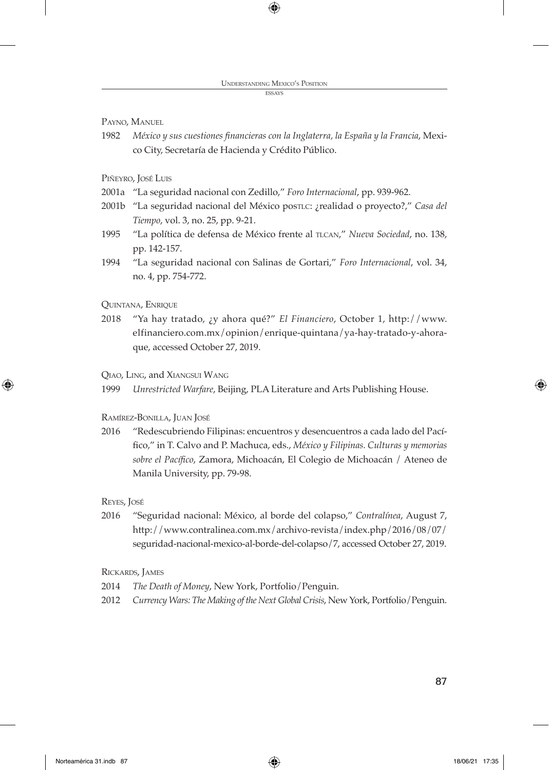#### essays

Payno, Manuel

1982 *México y sus cuestiones financieras con la Inglaterra, la España y la Francia*, Mexico City, Secretaría de Hacienda y Crédito Público.

Piñeyro, José Luis

- 2001a "La seguridad nacional con Zedillo," *Foro Internacional*, pp. 939-962.
- 2001b "La seguridad nacional del México postlc: ¿realidad o proyecto?," *Casa del Tiempo*, vol. 3, no. 25, pp. 9-21.
- 1995 "La política de defensa de México frente al tlcan," *Nueva Sociedad*, no. 138, pp. 142-157.
- 1994 "La seguridad nacional con Salinas de Gortari," *Foro Internacional*, vol. 34, no. 4, pp. 754-772.

Quintana, Enrique

2018 "Ya hay tratado, ¿y ahora qué?" *El Financiero*, October 1, http://www. elfinanciero.com.mx/opinion/enrique-quintana/ya-hay-tratado-y-ahoraque, accessed October 27, 2019.

Qiao, Ling, and Xiangsui Wang

1999 *Unrestricted Warfare*, Beijing, PLA Literature and Arts Publishing House.

Ramírez-Bonilla, Juan José

2016 "Redescubriendo Filipinas: encuentros y desencuentros a cada lado del Pacífico," in T. Calvo and P. Machuca, eds., *México y Filipinas. Culturas y memorias sobre el Pacífico*, Zamora, Michoacán, El Colegio de Michoacán / Ateneo de Manila University, pp. 79-98.

Reyes, José

2016 "Seguridad nacional: México, al borde del colapso," *Contralínea*, August 7, http://www.contralinea.com.mx/archivo-revista/index.php/2016/08/07/ seguridad-nacional-mexico-al-borde-del-colapso/7, accessed October 27, 2019.

Rickards, James

- 2014 *The Death of Money*, New York, Portfolio/Penguin.
- 2012 *Currency Wars: The Making of the Next Global Crisis*, New York, Portfolio/Penguin.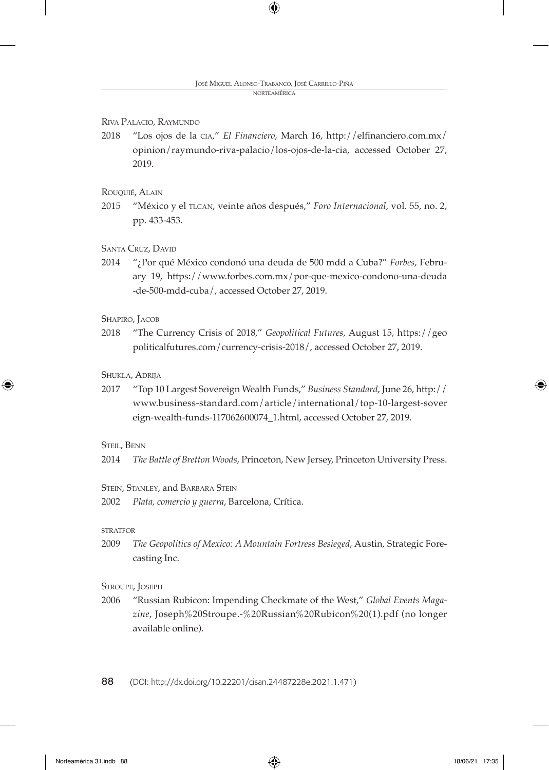## Riva Palacio, Raymundo

2018 "Los ojos de la cia," *El Financiero*, March 16, http://elfinanciero.com.mx/ opinion/raymundo-riva-palacio/los-ojos-de-la-cia, accessed October 27, 2019.

#### ROUQUIÉ, ALAIN

2015 "México y el tlcan, veinte años después," *Foro Internacional*, vol. 55, no. 2, pp. 433-453.

## Santa Cruz, David

2014 "¿Por qué México condonó una deuda de 500 mdd a Cuba?" *Forbes*, February 19, https://www.forbes.com.mx/por-que-mexico-condono-una-deuda -de-500-mdd-cuba/, accessed October 27, 2019.

## SHAPIRO, JACOB

2018 "The Currency Crisis of 2018," *Geopolitical Futures*, August 15, https://geo politicalfutures.com/currency-crisis-2018/, accessed October 27, 2019.

## Shukla, Adrija

2017 "Top 10 Largest Sovereign Wealth Funds," *Business Standard*, June 26, http:// www.business-standard.com/article/international/top-10-largest-sover eign-wealth-funds-117062600074\_1.html, accessed October 27, 2019.

#### STEIL, BENN

2014 *The Battle of Bretton Woods*, Princeton, New Jersey, Princeton University Press.

#### STEIN, STANLEY, and BARBARA STEIN

2002 *Plata, comercio y guerra*, Barcelona, Crítica.

#### **STRATFOR**

2009 *The Geopolitics of Mexico: A Mountain Fortress Besieged*, Austin, Strategic Forecasting Inc.

#### Stroupe, Joseph

2006 "Russian Rubicon: Impending Checkmate of the West," *Global Events Magazine*, Joseph%20Stroupe.-%20Russian%20Rubicon%20(1).pdf (no longer available online).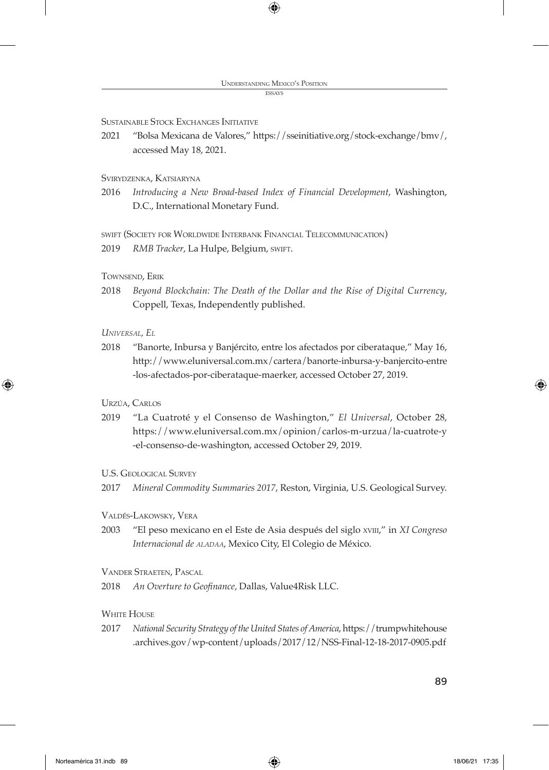## Sustainable Stock Exchanges Initiative

2021 "Bolsa Mexicana de Valores," https://sseinitiative.org/stock-exchange/bmv/, accessed May 18, 2021.

## Svirydzenka, Katsiaryna

2016 *Introducing a New Broad-based Index of Financial Development*, Washington, D.C., International Monetary Fund.

swift (Society for Worldwide Interbank Financial Telecommunication)

2019 *RMB Tracker*, La Hulpe, Belgium, swift.

## Townsend, Erik

2018 *Beyond Blockchain: The Death of the Dollar and the Rise of Digital Currency*, Coppell, Texas, Independently published.

## *Universal, El*

2018 "Banorte, Inbursa y Banjército, entre los afectados por ciberataque," May 16, http://www.eluniversal.com.mx/cartera/banorte-inbursa-y-banjercito-entre -los-afectados-por-ciberataque-maerker, accessed October 27, 2019.

## Urzúa, Carlos

2019 "La Cuatroté y el Consenso de Washington," *El Universal*, October 28, https://www.eluniversal.com.mx/opinion/carlos-m-urzua/la-cuatrote-y -el-consenso-de-washington, accessed October 29, 2019.

## U.S. Geological Survey

2017 *Mineral Commodity Summaries 2017*, Reston, Virginia, U.S. Geological Survey.

## Valdés-Lakowsky, Vera

2003 "El peso mexicano en el Este de Asia después del siglo xviii," in *XI Congreso Internacional de aladaa*, Mexico City, El Colegio de México.

## Vander Straeten, Pascal

2018 *An Overture to Geofinance*, Dallas, Value4Risk LLC.

## W**HITE HOUSE**

2017 *National Security Strategy of the United States of America*, https://trumpwhitehouse .archives.gov/wp-content/uploads/2017/12/NSS-Final-12-18-2017-0905.pdf